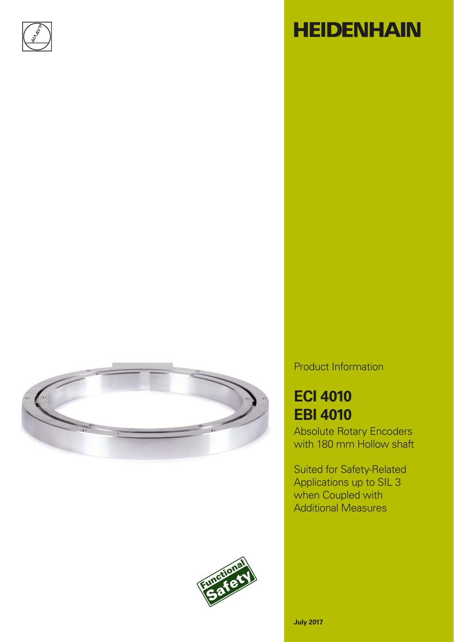

# **HEIDENHAIN**





### Product Information

# **ECI 4010 EBI 4010**

Absolute Rotary Encoders with 180 mm Hollow shaft

Suited for Safety-Related Applications up to SIL 3 when Coupled with Additional Measures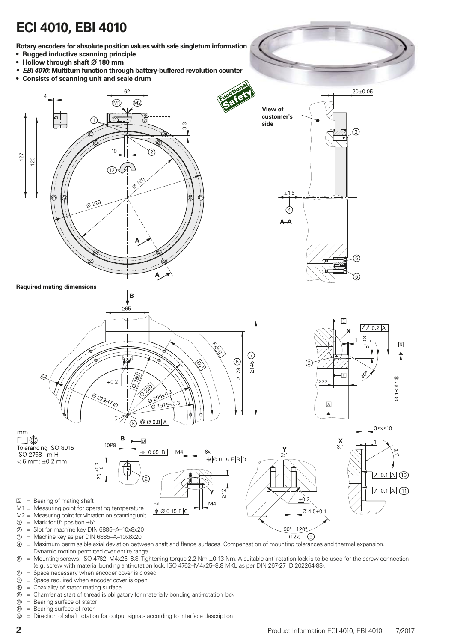# **ECI 4010, EBI 4010**

**Rotary encoders for absolute position values with safe singleturn information**

- **Rugged inductive scanning principle**
- Hollow through shaft  $\varnothing$  180 mm
- *EBI 4010:* **Multiturn function through battery-buffered revolution counter**
- **Consists of scanning unit and scale drum**



- Dynamic motion permitted over entire range. ⑤ = Mounting screws: ISO 4762–M4x25–8.8. Tightening torque 2.2 Nm ±0.13 Nm. A suitable anti-rotation lock is to be used for the screw connection (e.g. screw with material bonding anti-rotation lock, ISO 4762–M4x25–8.8 MKL as per DIN 267-27 ID 202264-88).
- ⑥ = Space necessary when encoder cover is closed
- ⑦ = Space required when encoder cover is open
- ⑧ = Coaxiality of stator mating surface
- ⑨ = Chamfer at start of thread is obligatory for materially bonding anti-rotation lock
- ⑩ = Bearing surface of stator
- ⑪ = Bearing surface of rotor
- $\circledR$  = Direction of shaft rotation for output signals according to interface description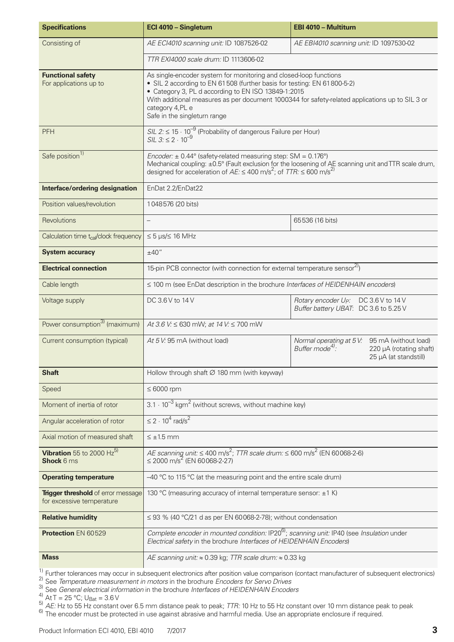| <b>Specifications</b>                                                  | ECI 4010 - Singleturn                                                                                                                                                                                                                                                                                                                                     | EBI 4010 - Multiturn                                                                                  |  |  |  |  |
|------------------------------------------------------------------------|-----------------------------------------------------------------------------------------------------------------------------------------------------------------------------------------------------------------------------------------------------------------------------------------------------------------------------------------------------------|-------------------------------------------------------------------------------------------------------|--|--|--|--|
| Consisting of                                                          | AE ECI4010 scanning unit: ID 1087526-02<br>AE EBI4010 scanning unit: ID 1097530-02                                                                                                                                                                                                                                                                        |                                                                                                       |  |  |  |  |
|                                                                        | TTR EXI4000 scale drum: ID 1113606-02                                                                                                                                                                                                                                                                                                                     |                                                                                                       |  |  |  |  |
| <b>Functional safety</b><br>For applications up to                     | As single-encoder system for monitoring and closed-loop functions<br>• SIL 2 according to EN 61508 (further basis for testing: EN 61800-5-2)<br>• Category 3, PL d according to EN ISO 13849-1:2015<br>With additional measures as per document 1000344 for safety-related applications up to SIL 3 or<br>category 4,PL e<br>Safe in the singleturn range |                                                                                                       |  |  |  |  |
| <b>PFH</b>                                                             | SIL 2: $\leq 15 \cdot 10^{-9}$ (Probability of dangerous Failure per Hour)<br>SIL 3: $\leq 2 \cdot 10^{-9}$                                                                                                                                                                                                                                               |                                                                                                       |  |  |  |  |
| Safe position <sup>1)</sup>                                            | Encoder: $\pm$ 0.44° (safety-related measuring step: SM = 0.176°)<br>designed for acceleration of $AE \le 400$ m/s <sup>2</sup> ; of TTR: $\le 600$ m/s <sup>2)</sup>                                                                                                                                                                                     | Mechanical coupling: ±0.5° (Fault exclusion for the loosening of AE scanning unit and TTR scale drum, |  |  |  |  |
| Interface/ordering designation                                         | EnDat 2.2/EnDat22                                                                                                                                                                                                                                                                                                                                         |                                                                                                       |  |  |  |  |
| Position values/revolution                                             | 1048576 (20 bits)                                                                                                                                                                                                                                                                                                                                         |                                                                                                       |  |  |  |  |
| Revolutions                                                            |                                                                                                                                                                                                                                                                                                                                                           | 65536 (16 bits)                                                                                       |  |  |  |  |
| Calculation time t <sub>cal</sub> /clock frequency                     | $\leq 5$ µs/ $\leq 16$ MHz                                                                                                                                                                                                                                                                                                                                |                                                                                                       |  |  |  |  |
| <b>System accuracy</b>                                                 | ±40''                                                                                                                                                                                                                                                                                                                                                     |                                                                                                       |  |  |  |  |
| <b>Electrical connection</b>                                           | 15-pin PCB connector (with connection for external temperature sensor <sup>2)</sup> )                                                                                                                                                                                                                                                                     |                                                                                                       |  |  |  |  |
| Cable length                                                           | ≤ 100 m (see EnDat description in the brochure Interfaces of HEIDENHAIN encoders)                                                                                                                                                                                                                                                                         |                                                                                                       |  |  |  |  |
| Voltage supply                                                         | DC 3.6 V to 14 V<br>Rotary encoder U <sub>p</sub> : DC 3.6 V to 14 V<br>Buffer battery UBAT: DC 3.6 to 5.25 V                                                                                                                                                                                                                                             |                                                                                                       |  |  |  |  |
| Power consumption <sup>3)</sup> (maximum)                              | At 3.6 V: $\leq$ 630 mW; at 14 V: $\leq$ 700 mW                                                                                                                                                                                                                                                                                                           |                                                                                                       |  |  |  |  |
| Current consumption (typical)                                          | At 5 V: 95 mA (without load)<br>95 mA (without load)<br>Normal operating at 5V:<br>Buffer mode <sup>4)</sup> :<br>220 µA (rotating shaft)<br>25 µA (at standstill)                                                                                                                                                                                        |                                                                                                       |  |  |  |  |
| <b>Shaft</b>                                                           | Hollow through shaft $\varnothing$ 180 mm (with keyway)                                                                                                                                                                                                                                                                                                   |                                                                                                       |  |  |  |  |
| Speed                                                                  | $\leq 6000$ rpm                                                                                                                                                                                                                                                                                                                                           |                                                                                                       |  |  |  |  |
| Moment of inertia of rotor                                             | $3.1 \cdot 10^{-3}$ kgm <sup>2</sup> (without screws, without machine key)                                                                                                                                                                                                                                                                                |                                                                                                       |  |  |  |  |
| Angular acceleration of rotor                                          | $\leq$ 2 $\cdot$ 10 <sup>4</sup> rad/s <sup>2</sup>                                                                                                                                                                                                                                                                                                       |                                                                                                       |  |  |  |  |
| Axial motion of measured shaft                                         | $\leq \pm 1.5$ mm                                                                                                                                                                                                                                                                                                                                         |                                                                                                       |  |  |  |  |
| Vibration 55 to 2000 $Hz^{5}$<br><b>Shock 6 ms</b>                     | AE scanning unit: $\leq 400$ m/s <sup>2</sup> ; TTR scale drum: $\leq 600$ m/s <sup>2</sup> (EN 60068-2-6)<br>$\leq$ 2000 m/s <sup>2</sup> (EN 60068-2-27)                                                                                                                                                                                                |                                                                                                       |  |  |  |  |
| <b>Operating temperature</b>                                           | -40 °C to 115 °C (at the measuring point and the entire scale drum)                                                                                                                                                                                                                                                                                       |                                                                                                       |  |  |  |  |
| <b>Trigger threshold</b> of error message<br>for excessive temperature | 130 °C (measuring accuracy of internal temperature sensor: ±1 K)                                                                                                                                                                                                                                                                                          |                                                                                                       |  |  |  |  |
| <b>Relative humidity</b>                                               | $\leq$ 93 % (40 °C/21 d as per EN 60068-2-78); without condensation                                                                                                                                                                                                                                                                                       |                                                                                                       |  |  |  |  |
| Protection EN 60529                                                    | Complete encoder in mounted condition: IP20 <sup>6)</sup> ; scanning unit: IP40 (see Insulation under<br>Electrical safety in the brochure Interfaces of HEIDENHAIN Encoders)                                                                                                                                                                             |                                                                                                       |  |  |  |  |
| <b>Mass</b>                                                            | AE scanning unit: $\approx 0.39$ kg; TTR scale drum: $\approx 0.33$ kg                                                                                                                                                                                                                                                                                    |                                                                                                       |  |  |  |  |

<sup>1)</sup> Further tolerances may occur in subsequent electronics after position value comparison (contact manufacturer of subsequent electronics)

2) See *Temperature measurement in motors* in the brochure *Encoders for Servo Drives*

3) See *General electrical information* in the brochure *Interfaces of HEIDENHAIN Encoders*

 $^{4)}$  At T = 25 °C; U<sub>Bat</sub> = 3.6 V

 $\frac{5}{2}$ <br>AE: Hz to 55 Hz constant over 6.5 mm distance peak to peak; TTR: 10 Hz to 55 Hz constant over 10 mm distance peak to peak<br><sup>6)</sup> The encoder must be protected in use against abrasive and harmful media. Use an appr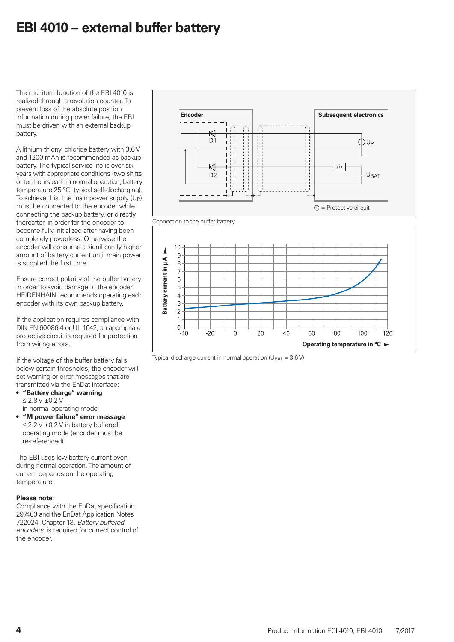### **EBI 4010 – external buffer battery**

The multiturn function of the EBI 4010 is realized through a revolution counter. To prevent loss of the absolute position information during power failure, the EBI must be driven with an external backup battery.

A lithium thionyl chloride battery with 3.6 V and 1200 mAh is recommended as backup battery. The typical service life is over six years with appropriate conditions (two shifts of ten hours each in normal operation; battery temperature 25 °C; typical self-discharging). To achieve this, the main power supply (UP) must be connected to the encoder while connecting the backup battery, or directly thereafter, in order for the encoder to become fully initialized after having been completely powerless. Otherwise the encoder will consume a significantly higher amount of battery current until main power is supplied the first time.

Ensure correct polarity of the buffer battery in order to avoid damage to the encoder. HEIDENHAIN recommends operating each encoder with its own backup battery.

If the application requires compliance with DIN EN 60 086-4 or UL 1642, an appropriate protective circuit is required for protection from wiring errors.

If the voltage of the buffer battery falls below certain thresholds, the encoder will set warning or error messages that are transmitted via the EnDat interface:

- **"Battery charge" warning**  $\leq$  2.8 V  $\pm$ 0.2 V in normal operating mode
- **"M power failure" error message**  $\leq$  2.2 V  $\pm$ 0.2 V in battery buffered operating mode (encoder must be re-referenced)

The EBI uses low battery current even during normal operation. The amount of current depends on the operating temperature.

#### **Please note:**

Compliance with the EnDat specification 297403 and the EnDat Application Notes 722024, Chapter 13, *Battery-buffered encoders,* is required for correct control of the encoder.





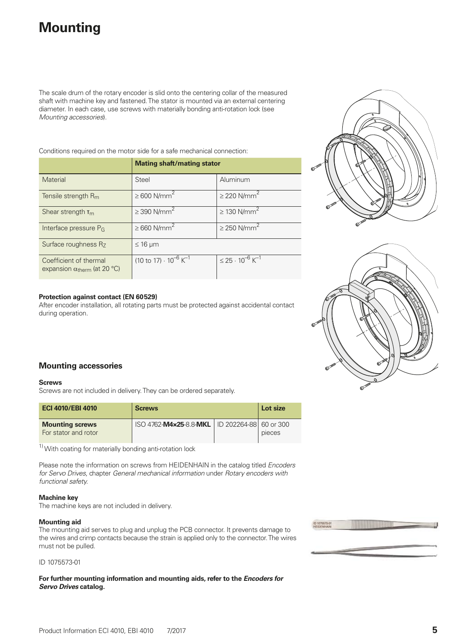## **Mounting**

The scale drum of the rotary encoder is slid onto the centering collar of the measured shaft with machine key and fastened. The stator is mounted via an external centering diameter. In each case, use screws with materially bonding anti-rotation lock (see *Mounting accessories*).

Conditions required on the motor side for a safe mechanical connection:

|                                                                        | <b>Mating shaft/mating stator</b>                  |                                                    |  |  |  |
|------------------------------------------------------------------------|----------------------------------------------------|----------------------------------------------------|--|--|--|
| Material                                                               | Steel                                              | Aluminum                                           |  |  |  |
| Tensile strength $R_m$                                                 | $\geq 600$ N/mm <sup>2</sup>                       | $\geq$ 220 N/mm <sup>2</sup>                       |  |  |  |
| Shear strength $T_m$                                                   | $\geq$ 390 N/mm <sup>2</sup>                       | $\geq$ 130 N/mm <sup>2</sup>                       |  |  |  |
| Interface pressure P <sub>G</sub>                                      | $\geq 660$ N/mm <sup>2</sup>                       | $\geq$ 250 N/mm <sup>2</sup>                       |  |  |  |
| Surface roughness Rz                                                   | $\leq 16$ µm                                       |                                                    |  |  |  |
| Coefficient of thermal<br>expansion $\alpha_{\text{therm}}$ (at 20 °C) | $(10 \text{ to } 17) \cdot 10^{-6} \text{ K}^{-1}$ | $\leq$ 25 $\cdot$ 10 <sup>-6</sup> K <sup>-1</sup> |  |  |  |

#### **Protection against contact (EN 60529)**

After encoder installation, all rotating parts must be protected against accidental contact during operation.





#### **Mounting accessories**

#### **Screws**

Screws are not included in delivery. They can be ordered separately.

| <b>ECI 4010/EBI 4010</b>                       | <b>Screws</b>                                   | Lot size |        |
|------------------------------------------------|-------------------------------------------------|----------|--------|
| <b>Mounting screws</b><br>For stator and rotor | ISO 4762-M4×25-8.8-MKL   ID 202264-88 60 or 300 |          | pieces |

 $1)$  With coating for materially bonding anti-rotation lock

Please note the information on screws from HEIDENHAIN in the catalog titled *Encoders for Servo Drives*, chapter *General mechanical information* under *Rotary encoders with functional safety.*

#### **Machine key**

The machine keys are not included in delivery.

#### **Mounting aid**

The mounting aid serves to plug and unplug the PCB connector. It prevents damage to the wires and crimp contacts because the strain is applied only to the connector. The wires must not be pulled.

ID 1075573-01

**For further mounting information and mounting aids, refer to the** *Encoders for Servo Drives* **catalog.**

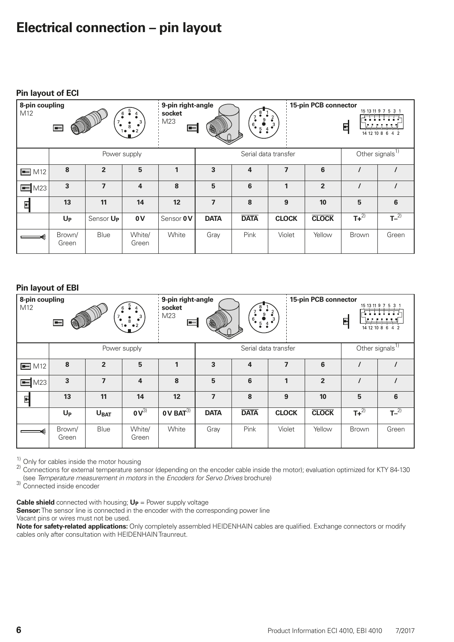### **Electrical connection – pin layout**

| 8-pin coupling<br>15-pin PCB connector<br>9-pin right-angle<br>M12<br>socket<br>$\bullet$<br>M23<br>$\cdot$ <sup>3</sup><br>$6_{\bullet}$<br>8<br>S<br>$\blacksquare$<br>$5 \frac{4}{9}$<br>$1 \bullet - \bullet 2$ |                 |                       |                 |              |                          |                | F                        | 15 13 11 9 7 5 3 1<br>14 12 10 8 6 4 2 |                             |       |
|---------------------------------------------------------------------------------------------------------------------------------------------------------------------------------------------------------------------|-----------------|-----------------------|-----------------|--------------|--------------------------|----------------|--------------------------|----------------------------------------|-----------------------------|-------|
|                                                                                                                                                                                                                     |                 |                       | Power supply    |              |                          |                | Serial data transfer     |                                        | Other signals <sup>1)</sup> |       |
| $\blacksquare$ M12                                                                                                                                                                                                  | 8               | $\overline{2}$        | 5               | $\mathbf{1}$ | 3                        | $\overline{4}$ | $\overline{\phantom{a}}$ | 6                                      |                             |       |
| $\equiv$ M23                                                                                                                                                                                                        | 3               | $\overline{7}$        | $\overline{4}$  | 8            | 5                        | 6              | $\mathbf{1}$             | $\overline{2}$                         |                             |       |
| 티                                                                                                                                                                                                                   | 13              | 11                    | 14              | 12           | $\overline{\phantom{a}}$ | 8              | 9                        | 10                                     | 5                           | 6     |
|                                                                                                                                                                                                                     | $U_{P}$         | Sensor U <sub>P</sub> | 0V              | Sensor OV    | <b>DATA</b>              | <b>DATA</b>    | <b>CLOCK</b>             | <b>CLOCK</b>                           | $T+^{2)}$                   | $T-2$ |
|                                                                                                                                                                                                                     | Brown/<br>Green | Blue                  | White/<br>Green | White        | Gray                     | Pink           | Violet                   | Yellow                                 | Brown                       | Green |

#### **Pin layout of EBI**

| 8-pin coupling<br>9-pin right-angle<br>15-pin PCB connector<br>socket<br>M <sub>12</sub><br>$\frac{2}{2}$<br>$\frac{9}{5}$ 4<br>$\frac{1}{2}$ M23<br>$\begin{bmatrix} 0 & 3 \\ 8 & 2 \end{bmatrix}$<br>$6_{\bullet}$<br>H<br>参<br>$\blacksquare$ |                 |                  |                                     |                              |                | 15 13 11 9 7 5 3 1<br>F<br>14 12 10 8 6 4 2 |                         |                |                             |       |
|--------------------------------------------------------------------------------------------------------------------------------------------------------------------------------------------------------------------------------------------------|-----------------|------------------|-------------------------------------|------------------------------|----------------|---------------------------------------------|-------------------------|----------------|-----------------------------|-------|
|                                                                                                                                                                                                                                                  |                 |                  | Power supply                        |                              |                |                                             | Serial data transfer    |                | Other signals <sup>1)</sup> |       |
| $\equiv$ M12                                                                                                                                                                                                                                     | 8               | $\overline{2}$   | 5                                   |                              | 3              | 4                                           | $\overline{\mathbf{z}}$ | 6              |                             |       |
| $\blacksquare$ M23                                                                                                                                                                                                                               | $\overline{3}$  | $\overline{7}$   | $\overline{4}$                      | 8                            | 5              | 6                                           | $\mathbf{1}$            | $\overline{2}$ |                             |       |
| 타                                                                                                                                                                                                                                                | 13              | 11               | 14                                  | 12                           | $\overline{ }$ | 8                                           | 9                       | 10             | 5                           | 6     |
|                                                                                                                                                                                                                                                  | $U_{P}$         | U <sub>BAT</sub> | $\overline{\mathbf{0}\mathbf{V}^3}$ | $\overline{0}$ V BAT $^{3)}$ | <b>DATA</b>    | <b>DATA</b>                                 | <b>CLOCK</b>            | <b>CLOCK</b>   | $T+^{2)}$                   | $T-2$ |
|                                                                                                                                                                                                                                                  | Brown/<br>Green | Blue             | White/<br>Green                     | White                        | Gray           | Pink                                        | Violet                  | Yellow         | <b>Brown</b>                | Green |

<sup>1)</sup> Only for cables inside the motor housing<br><sup>2)</sup> Connections for external temperature sensor (depending on the encoder cable inside the motor); evaluation optimized for KTY 84-130 (see *Temperature measurement in motors* in the *Encoders for Servo Drives* brochure) 3) Connected inside encoder

**Cable shield** connected with housing;  $U_P$  = Power supply voltage

**Sensor:** The sensor line is connected in the encoder with the corresponding power line Vacant pins or wires must not be used.

**Note for safety-related applications:** Only completely assembled HEIDENHAIN cables are qualified. Exchange connectors or modify cables only after consultation with HEIDENHAIN Traunreut.